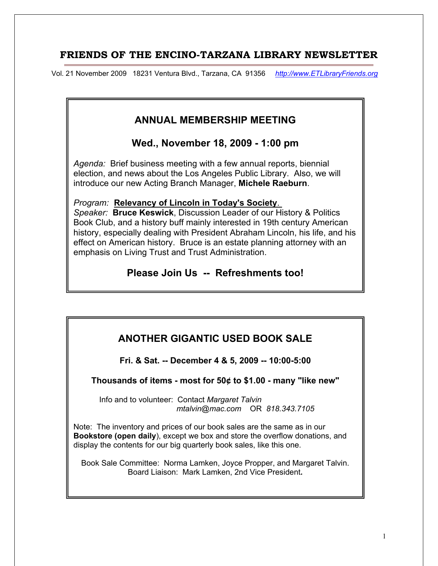# **FRIENDS OF THE ENCINO-TARZANA LIBRARY NEWSLETTER**

Vol. 21 November 2009 18231 Ventura Blvd., Tarzana, CA 91356 *[http://www.ETLibraryFriends.org](http://www.etlibraryfriends.org/)*

# **ANNUAL MEMBERSHIP MEETING**

# **Wed., November 18, 2009 - 1:00 pm**

*Agenda:* Brief business meeting with a few annual reports, biennial election, and news about the Los Angeles Public Library. Also, we will introduce our new Acting Branch Manager, **Michele Raeburn**.

*Program:* **Relevancy of Lincoln in Today's Society**.

*Speaker:* **Bruce Keswick**, Discussion Leader of our History & Politics Book Club, and a history buff mainly interested in 19th century American history, especially dealing with President Abraham Lincoln, his life, and his effect on American history. Bruce is an estate planning attorney with an emphasis on Living Trust and Trust Administration.

# **Please Join Us -- Refreshments too!**

# **ANOTHER GIGANTIC USED BOOK SALE**

**Fri. & Sat. -- December 4 & 5, 2009 -- 10:00-5:00** 

**Thousands of items - most for 50¢ to \$1.00 - many "like new"**

Info and to volunteer: Contact *Margaret Talvin mtalvin@mac.com* OR *818.343.7105*

Note: The inventory and prices of our book sales are the same as in our **Bookstore (open daily**), except we box and store the overflow donations, and display the contents for our big quarterly book sales, like this one.

Book Sale Committee: Norma Lamken, Joyce Propper, and Margaret Talvin. Board Liaison: Mark Lamken, 2nd Vice President**.**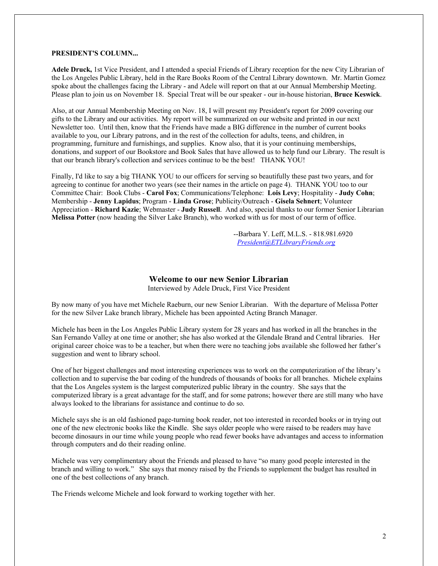#### **PRESIDENT'S COLUMN...**

**Adele Druck,** 1st Vice President, and I attended a special Friends of Library reception for the new City Librarian of the Los Angeles Public Library, held in the Rare Books Room of the Central Library downtown. Mr. Martin Gomez spoke about the challenges facing the Library - and Adele will report on that at our Annual Membership Meeting. Please plan to join us on November 18. Special Treat will be our speaker - our in-house historian, **Bruce Keswick**.

Also, at our Annual Membership Meeting on Nov. 18, I will present my President's report for 2009 covering our gifts to the Library and our activities. My report will be summarized on our website and printed in our next Newsletter too. Until then, know that the Friends have made a BIG difference in the number of current books available to you, our Library patrons, and in the rest of the collection for adults, teens, and children, in programming, furniture and furnishings, and supplies. Know also, that it is your continuing memberships, donations, and support of our Bookstore and Book Sales that have allowed us to help fund our Library. The result is that our branch library's collection and services continue to be the best! THANK YOU!

Finally, I'd like to say a big THANK YOU to our officers for serving so beautifully these past two years, and for agreeing to continue for another two years (see their names in the article on page 4). THANK YOU too to our Committee Chair: Book Clubs - **Carol Fox**; Communications/Telephone: **Lois Levy**; Hospitality - **Judy Cohn**; Membership - **Jenny Lapidus**; Program - **Linda Grose**; Publicity/Outreach - **Gisela Sehnert**; Volunteer Appreciation - **Richard Kazie**; Webmaster - **Judy Russell**. And also, special thanks to our former Senior Librarian **Melissa Potter** (now heading the Silver Lake Branch), who worked with us for most of our term of office.

> --Barbara Y. Leff, M.L.S. - 818.981.6920 *[President@ETLibraryFriends.org](mailto:President@ETLibraryFriends.org)*

# **Welcome to our new Senior Librarian**

Interviewed by Adele Druck, First Vice President

By now many of you have met Michele Raeburn, our new Senior Librarian. With the departure of Melissa Potter for the new Silver Lake branch library, Michele has been appointed Acting Branch Manager.

Michele has been in the Los Angeles Public Library system for 28 years and has worked in all the branches in the San Fernando Valley at one time or another; she has also worked at the Glendale Brand and Central libraries. Her original career choice was to be a teacher, but when there were no teaching jobs available she followed her father's suggestion and went to library school.

One of her biggest challenges and most interesting experiences was to work on the computerization of the library's collection and to supervise the bar coding of the hundreds of thousands of books for all branches. Michele explains that the Los Angeles system is the largest computerized public library in the country. She says that the computerized library is a great advantage for the staff, and for some patrons; however there are still many who have always looked to the librarians for assistance and continue to do so.

Michele says she is an old fashioned page-turning book reader, not too interested in recorded books or in trying out one of the new electronic books like the Kindle. She says older people who were raised to be readers may have become dinosaurs in our time while young people who read fewer books have advantages and access to information through computers and do their reading online.

Michele was very complimentary about the Friends and pleased to have "so many good people interested in the branch and willing to work." She says that money raised by the Friends to supplement the budget has resulted in one of the best collections of any branch.

The Friends welcome Michele and look forward to working together with her.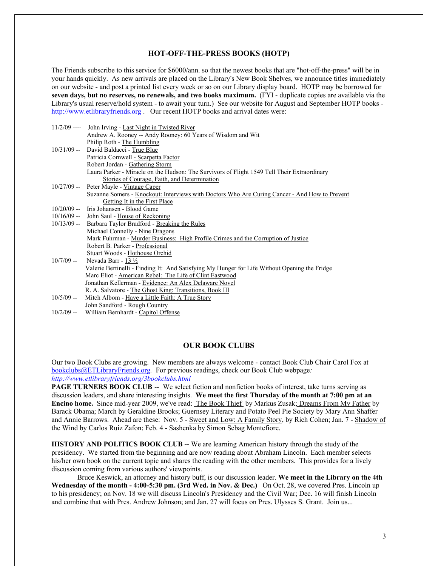### **HOT-OFF-THE-PRESS BOOKS (HOTP)**

The Friends subscribe to this service for \$6000/ann. so that the newest books that are "hot-off-the-press" will be in your hands quickly. As new arrivals are placed on the Library's New Book Shelves, we announce titles immediately on our website - and post a printed list every week or so on our Library display board. HOTP may be borrowed for **seven days, but no reserves, no renewals, and two books maximum.** (FYI - duplicate copies are available via the Library's usual reserve/hold system - to await your turn.) See our website for August and September HOTP books [http://www.etlibraryfriends.org](http://www.etlibraryfriends.org/) . Our recent HOTP books and arrival dates were:

| $11/2/09$ ---- | John Irving - Last Night in Twisted River                                                     |
|----------------|-----------------------------------------------------------------------------------------------|
|                | Andrew A. Rooney -- Andy Rooney: 60 Years of Wisdom and Wit                                   |
|                | Philip Roth - The Humbling                                                                    |
|                | 10/31/09 -- David Baldacci - True Blue                                                        |
|                | Patricia Cornwell - Scarpetta Factor                                                          |
|                | Robert Jordan - Gathering Storm                                                               |
|                | Laura Parker - Miracle on the Hudson: The Survivors of Flight 1549 Tell Their Extraordinary   |
|                | Stories of Courage, Faith, and Determination                                                  |
|                | 10/27/09 -- Peter Mayle - Vintage Caper                                                       |
|                | Suzanne Somers - Knockout: Interviews with Doctors Who Are Curing Cancer - And How to Prevent |
|                | Getting It in the First Place                                                                 |
|                | 10/20/09 -- Iris Johansen - Blood Game                                                        |
|                | $10/16/09$ -- John Saul - House of Reckoning                                                  |
|                | 10/13/09 -- Barbara Taylor Bradford - Breaking the Rules                                      |
|                | Michael Connelly - Nine Dragons                                                               |
|                | Mark Fuhrman - Murder Business: High Profile Crimes and the Corruption of Justice             |
|                | Robert B. Parker - Professional                                                               |
|                | Stuart Woods - Hothouse Orchid                                                                |
| $10/7/09 -$    | Nevada Barr - 13 $\frac{1}{2}$                                                                |
|                | Valerie Bertinelli - Finding It: And Satisfying My Hunger for Life Without Opening the Fridge |
|                | Marc Eliot - American Rebel: The Life of Clint Eastwood                                       |
|                | Jonathan Kellerman - Evidence: An Alex Delaware Novel                                         |
|                | R. A. Salvatore - The Ghost King: Transitions, Book III                                       |
| $10/5/09 -$    | Mitch Albom - Have a Little Faith: A True Story                                               |
|                | John Sandford - Rough Country                                                                 |
| $10/2/09 -$    | William Bernhardt - Capitol Offense                                                           |

#### **OUR BOOK CLUBS**

Our two Book Clubs are growing. New members are always welcome - contact Book Club Chair Carol Fox at [bookclubs@ETLibraryFriends.org](mailto:bookclubs@ETLibraryFriends.org)*.* For previous readings, check our Book Club webpage*: <http://www.etlibraryfriends.org/3bookclubs.html>*

**PAGE TURNERS BOOK CLUB** -- We select fiction and nonfiction books of interest, take turns serving as discussion leaders, and share interesting insights. **We meet the first Thursday of the month at 7:00 pm at an Encino home.** Since mid-year 2009, we've read: The Book Thief by Markus Zusak; Dreams From My Father by Barack Obama; March by Geraldine Brooks; Guernsey Literary and Potato Peel Pie Society by Mary Ann Shaffer and Annie Barrows. Ahead are these: Nov. 5 - Sweet and Low: A Family Story, by Rich Cohen; Jan. 7 - Shadow of the Wind by Carlos Ruiz Zafon; Feb. 4 - Sashenka by Simon Sebag Montefiore.

**HISTORY AND POLITICS BOOK CLUB --** We are learning American history through the study of the presidency. We started from the beginning and are now reading about Abraham Lincoln. Each member selects his/her own book on the current topic and shares the reading with the other members. This provides for a lively discussion coming from various authors' viewpoints.

Bruce Keswick, an attorney and history buff, is our discussion leader. **We meet in the Library on the 4th Wednesday of the month - 4:00-5:30 pm. (3rd Wed. in Nov. & Dec.)** On Oct. 28, we covered Pres. Lincoln up to his presidency; on Nov. 18 we will discuss Lincoln's Presidency and the Civil War; Dec. 16 will finish Lincoln and combine that with Pres. Andrew Johnson; and Jan. 27 will focus on Pres. Ulysses S. Grant. Join us...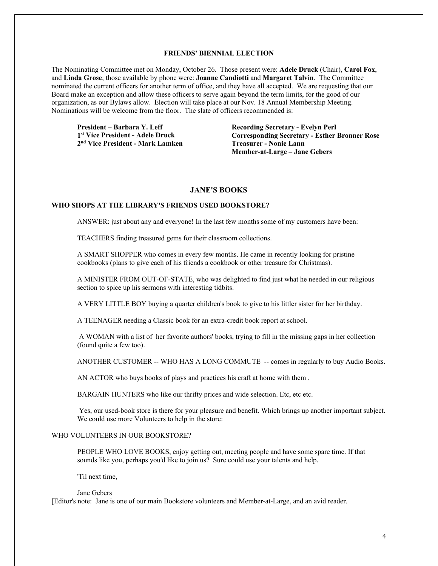#### **FRIENDS' BIENNIAL ELECTION**

The Nominating Committee met on Monday, October 26. Those present were: **Adele Druck** (Chair), **Carol Fox**, and **Linda Grose**; those available by phone were: **Joanne Candiotti** and **Margaret Talvin**. The Committee nominated the current officers for another term of office, and they have all accepted. We are requesting that our Board make an exception and allow these officers to serve again beyond the term limits, for the good of our organization, as our Bylaws allow. Election will take place at our Nov. 18 Annual Membership Meeting. Nominations will be welcome from the floor. The slate of officers recommended is:

**President – Barbara Y. Leff 1st Vice President - Adele Druck 2nd Vice President - Mark Lamken** **Recording Secretary - Evelyn Perl Corresponding Secretary - Esther Bronner Rose Treasurer - Nonie Lann Member-at-Large – Jane Gebers**

## **JANE'S BOOKS**

## **WHO SHOPS AT THE LIBRARY'S FRIENDS USED BOOKSTORE?**

ANSWER: just about any and everyone! In the last few months some of my customers have been:

TEACHERS finding treasured gems for their classroom collections.

A SMART SHOPPER who comes in every few months. He came in recently looking for pristine cookbooks (plans to give each of his friends a cookbook or other treasure for Christmas).

A MINISTER FROM OUT-OF-STATE, who was delighted to find just what he needed in our religious section to spice up his sermons with interesting tidbits.

A VERY LITTLE BOY buying a quarter children's book to give to his littler sister for her birthday.

A TEENAGER needing a Classic book for an extra-credit book report at school.

A WOMAN with a list of her favorite authors' books, trying to fill in the missing gaps in her collection (found quite a few too).

ANOTHER CUSTOMER -- WHO HAS A LONG COMMUTE -- comes in regularly to buy Audio Books.

AN ACTOR who buys books of plays and practices his craft at home with them .

BARGAIN HUNTERS who like our thrifty prices and wide selection. Etc, etc etc.

Yes, our used-book store is there for your pleasure and benefit. Which brings up another important subject. We could use more Volunteers to help in the store:

#### WHO VOLUNTEERS IN OUR BOOKSTORE?

PEOPLE WHO LOVE BOOKS, enjoy getting out, meeting people and have some spare time. If that sounds like you, perhaps you'd like to join us? Sure could use your talents and help.

'Til next time,

Jane Gebers

[Editor's note: Jane is one of our main Bookstore volunteers and Member-at-Large, and an avid reader.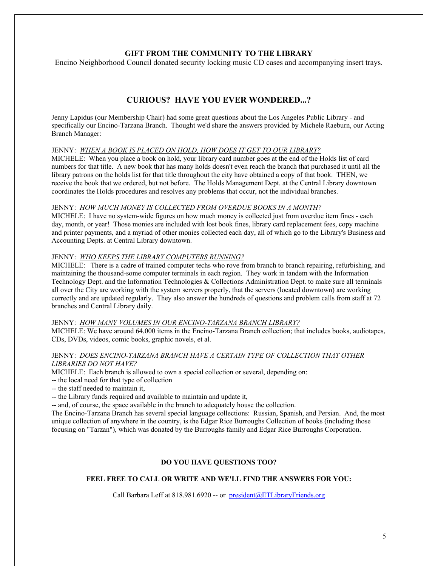# **GIFT FROM THE COMMUNITY TO THE LIBRARY**

Encino Neighborhood Council donated security locking music CD cases and accompanying insert trays.

# **CURIOUS? HAVE YOU EVER WONDERED...?**

Jenny Lapidus (our Membership Chair) had some great questions about the Los Angeles Public Library - and specifically our Encino-Tarzana Branch. Thought we'd share the answers provided by Michele Raeburn, our Acting Branch Manager:

## JENNY: *WHEN A BOOK IS PLACED ON HOLD, HOW DOES IT GET TO OUR LIBRARY?*

MICHELE: When you place a book on hold, your library card number goes at the end of the Holds list of card numbers for that title. A new book that has many holds doesn't even reach the branch that purchased it until all the library patrons on the holds list for that title throughout the city have obtained a copy of that book. THEN, we receive the book that we ordered, but not before. The Holds Management Dept. at the Central Library downtown coordinates the Holds procedures and resolves any problems that occur, not the individual branches.

#### JENNY: *HOW MUCH MONEY IS COLLECTED FROM OVERDUE BOOKS IN A MONTH?*

MICHELE: I have no system-wide figures on how much money is collected just from overdue item fines - each day, month, or year! Those monies are included with lost book fines, library card replacement fees, copy machine and printer payments, and a myriad of other monies collected each day, all of which go to the Library's Business and Accounting Depts. at Central Library downtown.

### JENNY: *WHO KEEPS THE LIBRARY COMPUTERS RUNNING?*

MICHELE: There is a cadre of trained computer techs who rove from branch to branch repairing, refurbishing, and maintaining the thousand-some computer terminals in each region. They work in tandem with the Information Technology Dept. and the Information Technologies & Collections Administration Dept. to make sure all terminals all over the City are working with the system servers properly, that the servers (located downtown) are working correctly and are updated regularly. They also answer the hundreds of questions and problem calls from staff at 72 branches and Central Library daily.

#### JENNY: *HOW MANY VOLUMES IN OUR ENCINO-TARZANA BRANCH LIBRARY?*

MICHELE: We have around 64,000 items in the Encino-Tarzana Branch collection; that includes books, audiotapes, CDs, DVDs, videos, comic books, graphic novels, et al.

### JENNY: *DOES ENCINO-TARZANA BRANCH HAVE A CERTAIN TYPE OF COLLECTION THAT OTHER LIBRARIES DO NOT HAVE?*

MICHELE: Each branch is allowed to own a special collection or several, depending on:

-- the local need for that type of collection

-- the staff needed to maintain it,

-- the Library funds required and available to maintain and update it,

-- and, of course, the space available in the branch to adequately house the collection.

The Encino-Tarzana Branch has several special language collections: Russian, Spanish, and Persian. And, the most unique collection of anywhere in the country, is the Edgar Rice Burroughs Collection of books (including those focusing on "Tarzan"), which was donated by the Burroughs family and Edgar Rice Burroughs Corporation.

## **DO YOU HAVE QUESTIONS TOO?**

## **FEEL FREE TO CALL OR WRITE AND WE'LL FIND THE ANSWERS FOR YOU:**

Call Barbara Leff at 818.981.6920 -- or [president@ETLibraryFriends.org](mailto:president@ETLibraryFriends.org)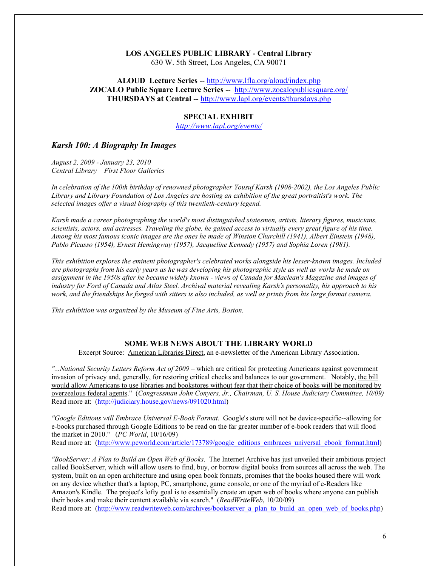# **LOS ANGELES PUBLIC LIBRARY - Central Library**

630 W. 5th Street, Los Angeles, CA 90071

**ALOUD Lecture Series** -- <http://www.lfla.org/aloud/index.php> **ZOCALO Public Square Lecture Series** -- <http://www.zocalopublicsquare.org/> **THURSDAYS at Central** -- <http://www.lapl.org/events/thursdays.php>

### **SPECIAL EXHIBIT**

*<http://www.lapl.org/events/>*

# *Karsh 100: A Biography In Images*

*August 2, 2009 - January 23, 2010 Central Library – First Floor Galleries*

*In celebration of the 100th birthday of renowned photographer Yousuf Karsh (1908-2002), the Los Angeles Public Library and Library Foundation of Los Angeles are hosting an exhibition of the great portraitist's work. The selected images offer a visual biography of this twentieth-century legend.*

*Karsh made a career photographing the world's most distinguished statesmen, artists, literary figures, musicians, scientists, actors, and actresses. Traveling the globe, he gained access to virtually every great figure of his time. Among his most famous iconic images are the ones he made of Winston Churchill (1941), Albert Einstein (1948), Pablo Picasso (1954), Ernest Hemingway (1957), Jacqueline Kennedy (1957) and Sophia Loren (1981).*

*This exhibition explores the eminent photographer's celebrated works alongside his lesser-known images. Included are photographs from his early years as he was developing his photographic style as well as works he made on assignment in the 1950s after he became widely known - views of Canada for Maclean's Magazine and images of industry for Ford of Canada and Atlas Steel. Archival material revealing Karsh's personality, his approach to his work, and the friendships he forged with sitters is also included, as well as prints from his large format camera.*

*This exhibition was organized by the Museum of Fine Arts, Boston.*

### **SOME WEB NEWS ABOUT THE LIBRARY WORLD**

Excerpt Source: American Libraries Direct, an e-newsletter of the American Library Association.

*"...National Security Letters Reform Act of 2009* – which are critical for protecting Americans against government invasion of privacy and, generally, for restoring critical checks and balances to our government. Notably, the bill would allow Americans to use libraries and bookstores without fear that their choice of books will be monitored by overzealous federal agents." (*Congressman John Conyers, Jr., Chairman, U. S. House Judiciary Committee, 10/09)* Read more at: [\(http://judiciary.house.gov/news/091020.html\)](http://judiciary.house.gov/news/091020.html)

*"Google Editions will Embrace Universal E-Book Format*. Google's store will not be device-specific--allowing for e-books purchased through Google Editions to be read on the far greater number of e-book readers that will flood the market in 2010." (*PC World*, 10/16/09) Read more at: [\(http://www.pcworld.com/article/173789/google\\_editions\\_embraces\\_universal\\_ebook\\_format.html\)](http://www.pcworld.com/article/173789/google_editions_embraces_universal_ebook_format.html)

*"BookServer: A Plan to Build an Open Web of Books*. The Internet Archive has just unveiled their ambitious project called BookServer, which will allow users to find, buy, or borrow digital books from sources all across the web. The system, built on an open architecture and using open book formats, promises that the books housed there will work on any device whether that's a laptop, PC, smartphone, game console, or one of the myriad of e-Readers like Amazon's Kindle. The project's lofty goal is to essentially create an open web of books where anyone can publish their books and make their content available via search." (*ReadWriteWeb*, 10/20/09) Read more at: [\(http://www.readwriteweb.com/archives/bookserver\\_a\\_plan\\_to\\_build\\_an\\_open\\_web\\_of\\_books.php\)](http://www.readwriteweb.com/archives/bookserver_a_plan_to_build_an_open_web_of_books.php)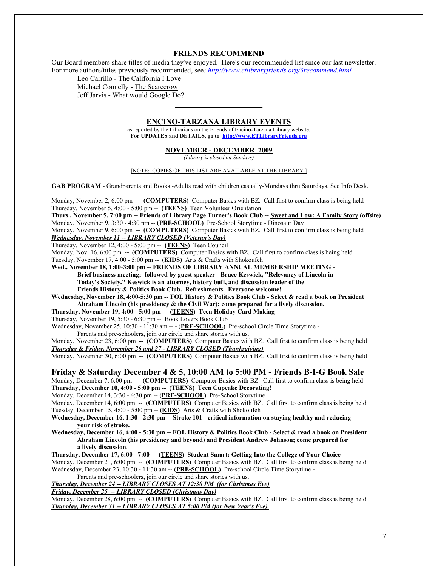#### **FRIENDS RECOMMEND**

Our Board members share titles of media they've enjoyed. Here's our recommended list since our last newsletter. For more authors/titles previously recommended, see*[: http://www.etlibraryfriends.org/3recommend.html](http://www.etlibraryfriends.org/3recommend.html)*

Leo Carrillo - The California I Love Michael Connelly - The Scarecrow Jeff Jarvis - What would Google Do?

### **ENCINO-TARZANA LIBRARY EVENTS**

**\_\_\_\_\_\_\_\_\_\_\_\_\_\_\_\_\_\_\_\_**

as reported by the Librarians on the Friends of Encino-Tarzana Library website. **For UPDATES and DETAILS, go to [http://www.ETLibraryFriends.org](http://www.etlibraryfriends.org/)**

#### **NOVEMBER - DECEMBER 2009**

*(Library is closed on Sundays)*

#### [NOTE: COPIES OF THIS LIST ARE AVAILABLE AT THE LIBRARY.]

**GAB PROGRAM** - Grandparents and Books -Adults read with children casually-Mondays thru Saturdays. See Info Desk.

Monday, November 2, 6:00 pm -- (COMPUTERS) Computer Basics with BZ. Call first to confirm class is being held Thursday, November 5, 4:00 - 5:00 pm -- **(TEENS)** Teen Volunteer Orientation **Thurs., November 5, 7:00 pm -- Friends of Library Page Turner's Book Club -- Sweet and Low: A Family Story (offsite)** Monday, November 9, 3:30 - 4:30 pm -- **(PRE-SCHOOL)** Pre-School Storytime - Dinosaur Day Monday, November 9, 6:00 pm -- (COMPUTERS) Computer Basics with BZ. Call first to confirm class is being held *Wednesday, November 11 -- LIBRARY CLOSED (Veteran's Day)* Thursday, November 12, 4:00 - 5:00 pm -- **(TEENS)** Teen Council Monday, Nov. 16, 6:00 pm -- (**COMPUTERS**) Computer Basics with BZ. Call first to confirm class is being held Tuesday, November 17, 4:00 - 5:00 pm -- **(KIDS)** Arts & Crafts with Shokoufeh **Wed., November 18, 1:00**-**3:00 pm -- FRIENDS OF LIBRARY ANNUAL MEMBERSHIP MEETING - Brief business meeting; followed by guest speaker - Bruce Keswick, "Relevancy of Lincoln in Today's Society." Keswick is an attorney, history buff, and discussion leader of the Friends History & Politics Book Club. Refreshments. Everyone welcome! Wednesday, November 18, 4:00-5:30 pm -- FOL History & Politics Book Club - Select & read a book on President Abraham Lincoln (his presidency & the Civil War); come prepared for a lively discussion. Thursday, November 19, 4:00 - 5:00 pm -- (TEENS) Teen Holiday Card Making** Thursday, November 19, 5:30 - 6:30 pm -- Book Lovers Book Club Wednesday, November 25, 10:30 - 11:30 am -- - (**PRE-SCHOOL**) Pre-school Circle Time Storytime - Parents and pre-schoolers, join our circle and share stories with us. Monday, November 23, 6:00 pm **-- (COMPUTERS)** Computer Basics with BZ. Call first to confirm class is being held *Thursday & Friday, November 26 and 27 - LIBRARY CLOSED (Thanksgiving)* Monday, November 30, 6:00 pm **-- (COMPUTERS)** Computer Basics with BZ. Call first to confirm class is being held **Friday & Saturday December 4 & 5, 10:00 AM to 5:00 PM - Friends B-I-G Book Sale** Monday, December 7, 6:00 pm -- **(COMPUTERS)** Computer Basics with BZ. Call first to confirm class is being held **Thursday, December 10, 4:00 - 5:00 pm -- (TEENS) Teen Cupcake Decorating!**  Monday, December 14, 3:30 - 4:30 pm -- **(PRE-SCHOOL)** Pre-School Storytime Monday, December 14, 6:00 pm  $-$  **(COMPUTERS)** Computer Basics with BZ. Call first to confirm class is being held Tuesday, December 15, 4:00 - 5:00 pm -- **(KIDS)** Arts & Crafts with Shokoufeh Wednesday, December 16, 1:30 - 2:30 pm -- Stroke 101 - critical information on staying healthy and reducing **your risk of stroke. Wednesday, December 16, 4:00 - 5:30 pm -- FOL History & Politics Book Club - Select & read a book on President Abraham Lincoln (his presidency and beyond) and President Andrew Johnson; come prepared for a lively discussion**. **Thursday, December 17, 6:00 - 7:00 -- (TEENS) Student Smart: Getting Into the College of Your Choice** 

Monday, December 21, 6:00 pm -- **(COMPUTERS)** Computer Basics with BZ. Call first to confirm class is being held Wednesday, December 23, 10:30 - 11:30 am -- **(PRE-SCHOOL)** Pre-school Circle Time Storytime -

Parents and pre-schoolers, join our circle and share stories with us.

# *Thursday, December 24 -- LIBRARY CLOSES AT 12:30 PM (for Christmas Eve)*

# *Friday, December 25 -- LIBRARY CLOSED (Christmas Day)*

Monday, December 28, 6:00 pm -- **(COMPUTERS)** Computer Basics with BZ. Call first to confirm class is being held *Thursday, December 31 -- LIBRARY CLOSES AT 5:00 PM (for New Year's Eve).*